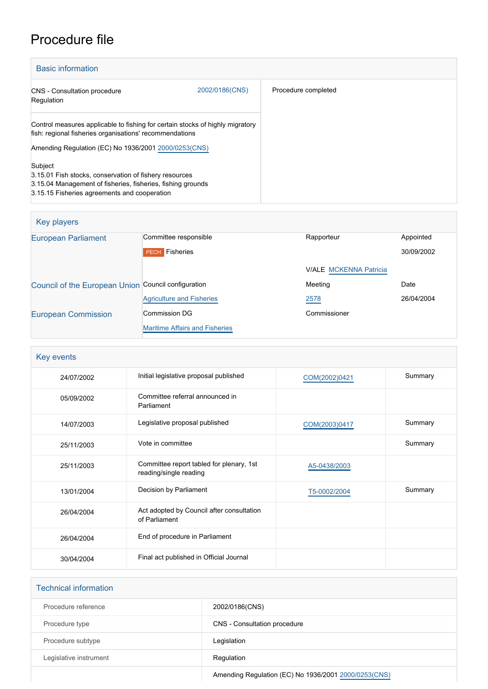# Procedure file

| <b>Basic information</b>                                                                                                                                                         |                |                     |  |
|----------------------------------------------------------------------------------------------------------------------------------------------------------------------------------|----------------|---------------------|--|
| CNS - Consultation procedure<br>Regulation                                                                                                                                       | 2002/0186(CNS) | Procedure completed |  |
| Control measures applicable to fishing for certain stocks of highly migratory<br>fish: regional fisheries organisations' recommendations                                         |                |                     |  |
| Amending Regulation (EC) No 1936/2001 2000/0253(CNS)                                                                                                                             |                |                     |  |
| Subject<br>3.15.01 Fish stocks, conservation of fishery resources<br>3.15.04 Management of fisheries, fisheries, fishing grounds<br>3.15.15 Fisheries agreements and cooperation |                |                     |  |

| Key players                                         |                                       |                               |            |
|-----------------------------------------------------|---------------------------------------|-------------------------------|------------|
| <b>European Parliament</b>                          | Committee responsible                 | Rapporteur                    | Appointed  |
|                                                     | <b>PECH</b> Fisheries                 |                               | 30/09/2002 |
|                                                     |                                       | <b>V/ALE MCKENNA Patricia</b> |            |
| Council of the European Union Council configuration |                                       | Meeting                       | Date       |
|                                                     | <b>Agriculture and Fisheries</b>      | 2578                          | 26/04/2004 |
| <b>European Commission</b>                          | <b>Commission DG</b>                  | Commissioner                  |            |
|                                                     | <b>Maritime Affairs and Fisheries</b> |                               |            |

| Key events |                                                                    |               |         |
|------------|--------------------------------------------------------------------|---------------|---------|
| 24/07/2002 | Initial legislative proposal published                             | COM(2002)0421 | Summary |
| 05/09/2002 | Committee referral announced in<br>Parliament                      |               |         |
| 14/07/2003 | Legislative proposal published                                     | COM(2003)0417 | Summary |
| 25/11/2003 | Vote in committee                                                  |               | Summary |
| 25/11/2003 | Committee report tabled for plenary, 1st<br>reading/single reading | A5-0438/2003  |         |
| 13/01/2004 | Decision by Parliament                                             | T5-0002/2004  | Summary |
| 26/04/2004 | Act adopted by Council after consultation<br>of Parliament         |               |         |
| 26/04/2004 | End of procedure in Parliament                                     |               |         |
| 30/04/2004 | Final act published in Official Journal                            |               |         |

| <b>Technical information</b> |                              |
|------------------------------|------------------------------|
| Procedure reference          | 2002/0186(CNS)               |
| Procedure type               | CNS - Consultation procedure |
| Procedure subtype            | Legislation                  |
| Legislative instrument       | Regulation                   |
|                              |                              |

Amending Regulation (EC) No 1936/2001 [2000/0253\(CNS\)](https://oeil.secure.europarl.europa.eu/oeil/popups/ficheprocedure.do?lang=en&reference=2000/0253(CNS))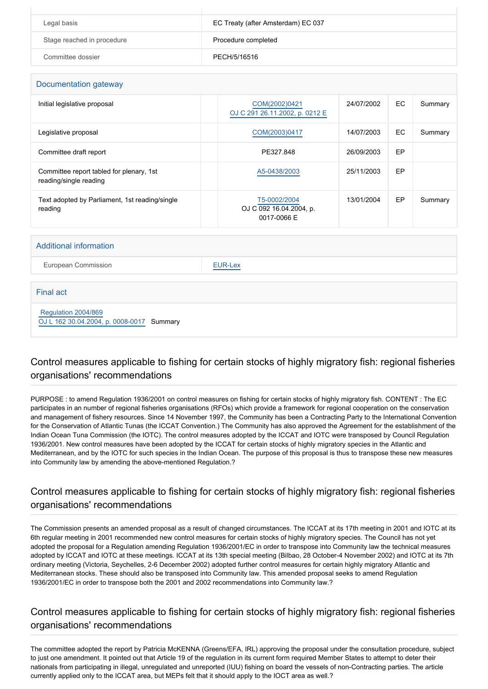| Legal basis                | EC Treaty (after Amsterdam) EC 037 |
|----------------------------|------------------------------------|
| Stage reached in procedure | Procedure completed                |
| Committee dossier          | PECH/5/16516                       |

#### Documentation gateway

| Initial legislative proposal                                       | COM(2002)0421<br>OJ C 291 26.11.2002, p. 0212 E        | 24/07/2002 | EC. | Summary |
|--------------------------------------------------------------------|--------------------------------------------------------|------------|-----|---------|
| Legislative proposal                                               | COM(2003)0417                                          | 14/07/2003 | EC  | Summary |
| Committee draft report                                             | PE327.848                                              | 26/09/2003 | EP  |         |
| Committee report tabled for plenary, 1st<br>reading/single reading | A5-0438/2003                                           | 25/11/2003 | EP  |         |
| Text adopted by Parliament, 1st reading/single<br>reading          | T5-0002/2004<br>OJ C 092 16.04.2004, p.<br>0017-0066 E | 13/01/2004 | EP  | Summary |

#### Additional information

European Commission **[EUR-Lex](http://ec.europa.eu/prelex/liste_resultats.cfm?CL=en&ReqId=0&DocType=CNS&DocYear=2002&DocNum=0186)** 

#### Final act

 [Regulation 2004/869](https://eur-lex.europa.eu/smartapi/cgi/sga_doc?smartapi!celexplus!prod!CELEXnumdoc&lg=EN&numdoc=32004R0869) [OJ L 162 30.04.2004, p. 0008-0017](https://eur-lex.europa.eu/legal-content/EN/TXT/?uri=OJ:L:2004:162:TOC) Summary

### Control measures applicable to fishing for certain stocks of highly migratory fish: regional fisheries organisations' recommendations

PURPOSE : to amend Regulation 1936/2001 on control measures on fishing for certain stocks of highly migratory fish. CONTENT : The EC participates in an number of regional fisheries organisations (RFOs) which provide a framework for regional cooperation on the conservation and management of fishery resources. Since 14 November 1997, the Community has been a Contracting Party to the International Convention for the Conservation of Atlantic Tunas (the ICCAT Convention.) The Community has also approved the Agreement for the establishment of the Indian Ocean Tuna Commission (the IOTC). The control measures adopted by the ICCAT and IOTC were transposed by Council Regulation 1936/2001. New control measures have been adopted by the ICCAT for certain stocks of highly migratory species in the Atlantic and Mediterranean, and by the IOTC for such species in the Indian Ocean. The purpose of this proposal is thus to transpose these new measures into Community law by amending the above-mentioned Regulation.?

# Control measures applicable to fishing for certain stocks of highly migratory fish: regional fisheries organisations' recommendations

The Commission presents an amended proposal as a result of changed circumstances. The ICCAT at its 17th meeting in 2001 and IOTC at its 6th regular meeting in 2001 recommended new control measures for certain stocks of highly migratory species. The Council has not yet adopted the proposal for a Regulation amending Regulation 1936/2001/EC in order to transpose into Community law the technical measures adopted by ICCAT and IOTC at these meetings. ICCAT at its 13th special meeting (Bilbao, 28 October-4 November 2002) and IOTC at its 7th ordinary meeting (Victoria, Seychelles, 2-6 December 2002) adopted further control measures for certain highly migratory Atlantic and Mediterranean stocks. These should also be transposed into Community law. This amended proposal seeks to amend Regulation 1936/2001/EC in order to transpose both the 2001 and 2002 recommendations into Community law.?

# Control measures applicable to fishing for certain stocks of highly migratory fish: regional fisheries organisations' recommendations

The committee adopted the report by Patricia McKENNA (Greens/EFA, IRL) approving the proposal under the consultation procedure, subject to just one amendment. It pointed out that Article 19 of the regulation in its current form required Member States to attempt to deter their nationals from participating in illegal, unregulated and unreported (IUU) fishing on board the vessels of non-Contracting parties. The article currently applied only to the ICCAT area, but MEPs felt that it should apply to the IOCT area as well.?